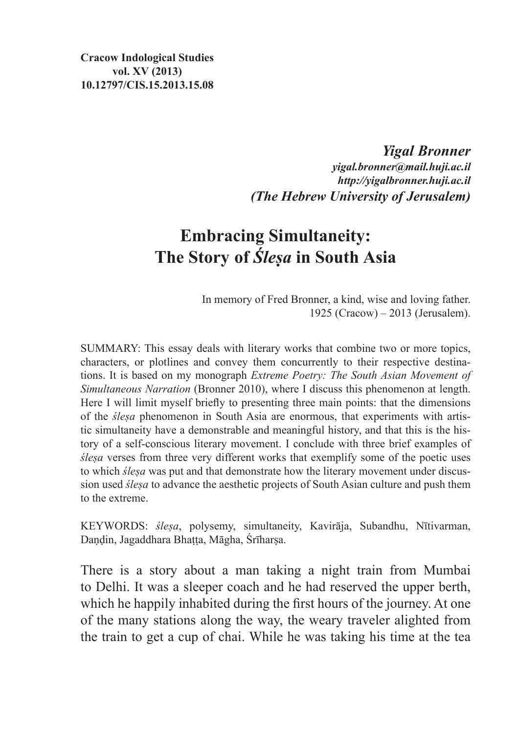*Yigal Bronner*

*yigal.bronner@mail.huji.ac.il http://yigalbronner.huji.ac.il (The Hebrew University of Jerusalem)*

# **Embracing Simultaneity: The Story of** *Śleṣa* **in South Asia**

In memory of Fred Bronner, a kind, wise and loving father. 1925 (Cracow) – 2013 (Jerusalem).

SUMMARY: This essay deals with literary works that combine two or more topics, characters, or plotlines and convey them concurrently to their respective destinations. It is based on my monograph *Extreme Poetry: The South Asian Movement of Simultaneous Narration* (Bronner 2010), where I discuss this phenomenon at length. Here I will limit myself briefly to presenting three main points: that the dimensions of the *śleṣa* phenomenon in South Asia are enormous, that experiments with artistic simultaneity have a demonstrable and meaningful history, and that this is the history of a self-conscious literary movement. I conclude with three brief examples of *śleṣa* verses from three very different works that exemplify some of the poetic uses to which *śleṣa* was put and that demonstrate how the literary movement under discussion used *śleṣa* to advance the aesthetic projects of South Asian culture and push them to the extreme.

KEYWORDS: *śleṣa*, polysemy, simultaneity, Kavirāja, Subandhu, Nītivarman, Daṇḍin, Jagaddhara Bhaṭṭa, Māgha, Śrīharṣa.

There is a story about a man taking a night train from Mumbai to Delhi. It was a sleeper coach and he had reserved the upper berth, which he happily inhabited during the first hours of the journey. At one of the many stations along the way, the weary traveler alighted from the train to get a cup of chai. While he was taking his time at the tea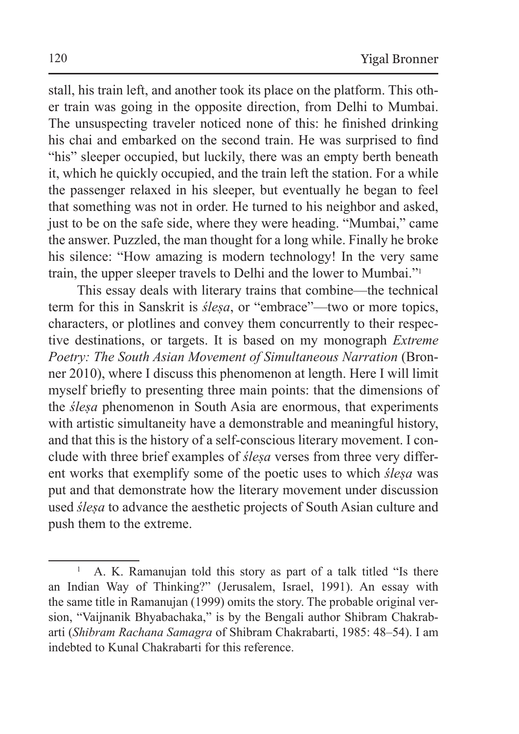stall, his train left, and another took its place on the platform. This other train was going in the opposite direction, from Delhi to Mumbai. The unsuspecting traveler noticed none of this: he finished drinking his chai and embarked on the second train. He was surprised to find "his" sleeper occupied, but luckily, there was an empty berth beneath it, which he quickly occupied, and the train left the station. For a while the passenger relaxed in his sleeper, but eventually he began to feel that something was not in order. He turned to his neighbor and asked, just to be on the safe side, where they were heading. "Mumbai," came the answer. Puzzled, the man thought for a long while. Finally he broke his silence: "How amazing is modern technology! In the very same train, the upper sleeper travels to Delhi and the lower to Mumbai."<sup>1</sup>

This essay deals with literary trains that combine—the technical term for this in Sanskrit is *śleṣa*, or "embrace"—two or more topics, characters, or plotlines and convey them concurrently to their respective destinations, or targets. It is based on my monograph *Extreme Poetry: The South Asian Movement of Simultaneous Narration* (Bronner 2010), where I discuss this phenomenon at length. Here I will limit myself briefly to presenting three main points: that the dimensions of the *śleṣa* phenomenon in South Asia are enormous, that experiments with artistic simultaneity have a demonstrable and meaningful history, and that this is the history of a self-conscious literary movement. I conclude with three brief examples of *śleṣa* verses from three very different works that exemplify some of the poetic uses to which *śleṣa* was put and that demonstrate how the literary movement under discussion used *śleṣa* to advance the aesthetic projects of South Asian culture and push them to the extreme.

<sup>&</sup>lt;sup>1</sup> A. K. Ramanujan told this story as part of a talk titled "Is there an Indian Way of Thinking?" (Jerusalem, Israel, 1991). An essay with the same title in Ramanujan (1999) omits the story. The probable original version, "Vaijnanik Bhyabachaka," is by the Bengali author Shibram Chakrabarti (*Shibram Rachana Samagra* of Shibram Chakrabarti, 1985: 48–54). I am indebted to Kunal Chakrabarti for this reference.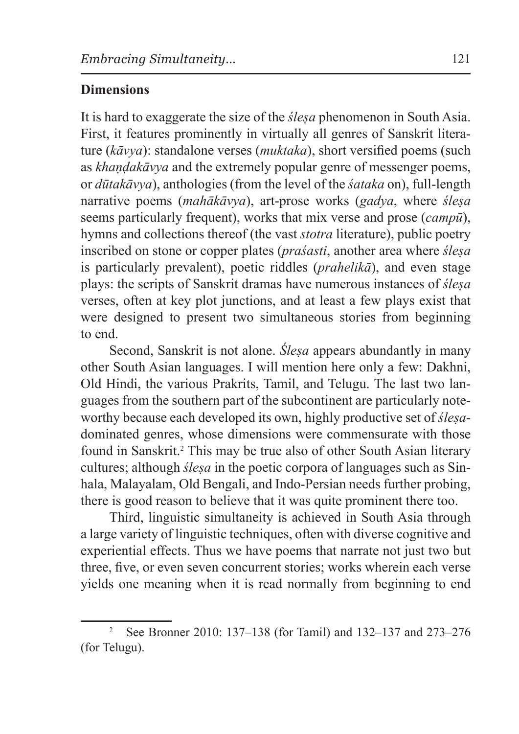#### **Dimensions**

It is hard to exaggerate the size of the *śleṣa* phenomenon in South Asia. First, it features prominently in virtually all genres of Sanskrit literature (*kāvya*): standalone verses (*muktaka*), short versified poems (such as *khaṇḍakāvya* and the extremely popular genre of messenger poems, or *dūtakāvya*), anthologies (from the level of the *śataka* on), full-length narrative poems (*mahākāvya*), art-prose works (*gadya*, where *śleṣa* seems particularly frequent), works that mix verse and prose (*campū*), hymns and collections thereof (the vast *stotra* literature), public poetry inscribed on stone or copper plates (*praśasti*, another area where *śleṣa* is particularly prevalent), poetic riddles (*prahelikā*), and even stage plays: the scripts of Sanskrit dramas have numerous instances of *śleṣa* verses, often at key plot junctions, and at least a few plays exist that were designed to present two simultaneous stories from beginning to end.

Second, Sanskrit is not alone. *Ślesa* appears abundantly in many other South Asian languages. I will mention here only a few: Dakhni, Old Hindi, the various Prakrits, Tamil, and Telugu. The last two languages from the southern part of the subcontinent are particularly noteworthy because each developed its own, highly productive set of *śleṣa*dominated genres, whose dimensions were commensurate with those found in Sanskrit.<sup>2</sup> This may be true also of other South Asian literary cultures; although *ślesa* in the poetic corpora of languages such as Sinhala, Malayalam, Old Bengali, and Indo-Persian needs further probing, there is good reason to believe that it was quite prominent there too.

Third, linguistic simultaneity is achieved in South Asia through a large variety of linguistic techniques, often with diverse cognitive and experiential effects. Thus we have poems that narrate not just two but three, five, or even seven concurrent stories; works wherein each verse yields one meaning when it is read normally from beginning to end

<sup>2</sup> See Bronner 2010: 137–138 (for Tamil) and 132–137 and 273–276 (for Telugu).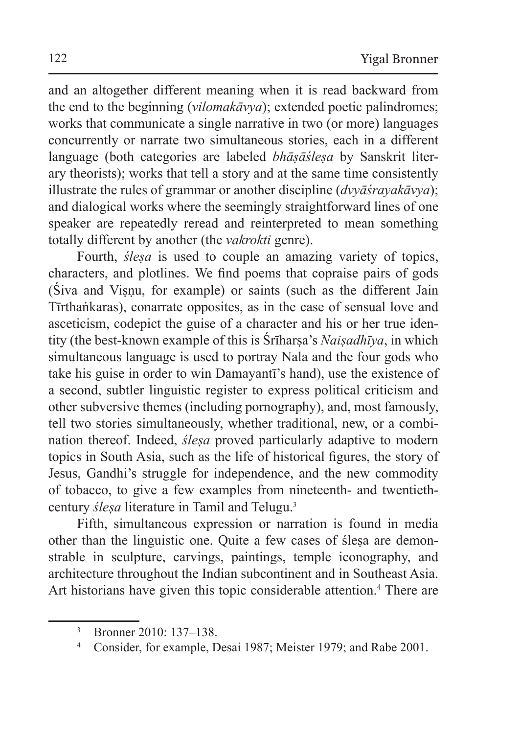and an altogether different meaning when it is read backward from the end to the beginning (*vilomakāvya*); extended poetic palindromes; works that communicate a single narrative in two (or more) languages concurrently or narrate two simultaneous stories, each in a different language (both categories are labeled *bhāṣāśleṣa* by Sanskrit literary theorists); works that tell a story and at the same time consistently illustrate the rules of grammar or another discipline (*dvyāśrayakāvya*); and dialogical works where the seemingly straightforward lines of one speaker are repeatedly reread and reinterpreted to mean something totally different by another (the *vakrokti* genre).

Fourth, *ślesa* is used to couple an amazing variety of topics, characters, and plotlines. We find poems that copraise pairs of gods (Siva and Visnu, for example) or saints (such as the different Jain Tīrthaṅkaras), conarrate opposites, as in the case of sensual love and asceticism, codepict the guise of a character and his or her true identity (the best-known example of this is Śrīharsa's *Naisadhīya*, in which simultaneous language is used to portray Nala and the four gods who take his guise in order to win Damayantī's hand), use the existence of a second, subtler linguistic register to express political criticism and other subversive themes (including pornography), and, most famously, tell two stories simultaneously, whether traditional, new, or a combination thereof. Indeed, *śleṣa* proved particularly adaptive to modern topics in South Asia, such as the life of historical figures, the story of Jesus, Gandhi's struggle for independence, and the new commodity of tobacco, to give a few examples from nineteenth- and twentiethcentury *ślesa* literature in Tamil and Telugu.<sup>3</sup>

Fifth, simultaneous expression or narration is found in media other than the linguistic one. Quite a few cases of śleṣa are demonstrable in sculpture, carvings, paintings, temple iconography, and architecture throughout the Indian subcontinent and in Southeast Asia. Art historians have given this topic considerable attention.<sup>4</sup> There are

<sup>3</sup> Bronner 2010: 137–138.

<sup>4</sup> Consider, for example, Desai 1987; Meister 1979; and Rabe 2001.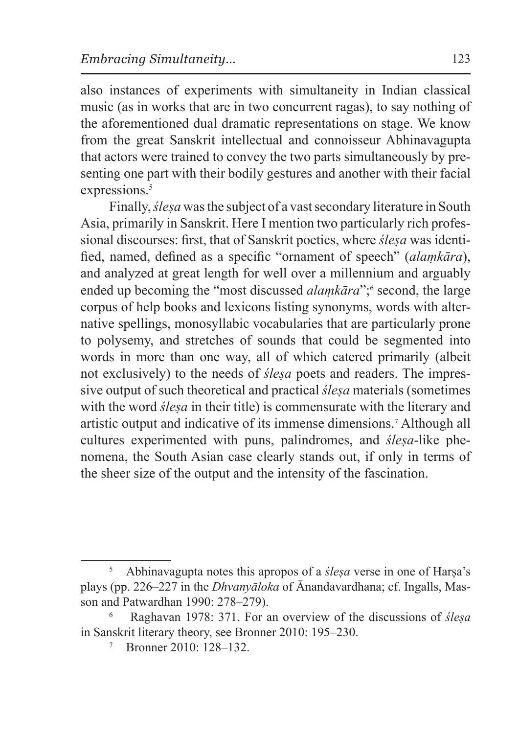also instances of experiments with simultaneity in Indian classical music (as in works that are in two concurrent ragas), to say nothing of the aforementioned dual dramatic representations on stage. We know from the great Sanskrit intellectual and connoisseur Abhinavagupta that actors were trained to convey the two parts simultaneously by presenting one part with their bodily gestures and another with their facial expressions.<sup>5</sup>

Finally, *śleṣa* was the subject of a vast secondary literature in South Asia, primarily in Sanskrit. Here I mention two particularly rich professional discourses: first, that of Sanskrit poetics, where *ślesa* was identified, named, defined as a specific "ornament of speech" (*alaṃkāra*), and analyzed at great length for well over a millennium and arguably ended up becoming the "most discussed *alaṃkāra*";<sup>6</sup> second, the large corpus of help books and lexicons listing synonyms, words with alternative spellings, monosyllabic vocabularies that are particularly prone to polysemy, and stretches of sounds that could be segmented into words in more than one way, all of which catered primarily (albeit not exclusively) to the needs of *śleṣa* poets and readers. The impressive output of such theoretical and practical *śleṣa* materials (sometimes with the word *ślesa* in their title) is commensurate with the literary and artistic output and indicative of its immense dimensions.<sup>7</sup> Although all cultures experimented with puns, palindromes, and *śleṣa*-like phenomena, the South Asian case clearly stands out, if only in terms of the sheer size of the output and the intensity of the fascination.

<sup>5</sup> Abhinavagupta notes this apropos of a *śleṣa* verse in one of Harṣa's plays (pp. 226–227 in the *Dhvanyāloka* of Ānandavardhana; cf. Ingalls, Masson and Patwardhan 1990: 278–279).

<sup>6</sup> Raghavan 1978: 371. For an overview of the discussions of *śleṣa* in Sanskrit literary theory, see Bronner 2010: 195–230.

<sup>7</sup> Bronner 2010: 128–132.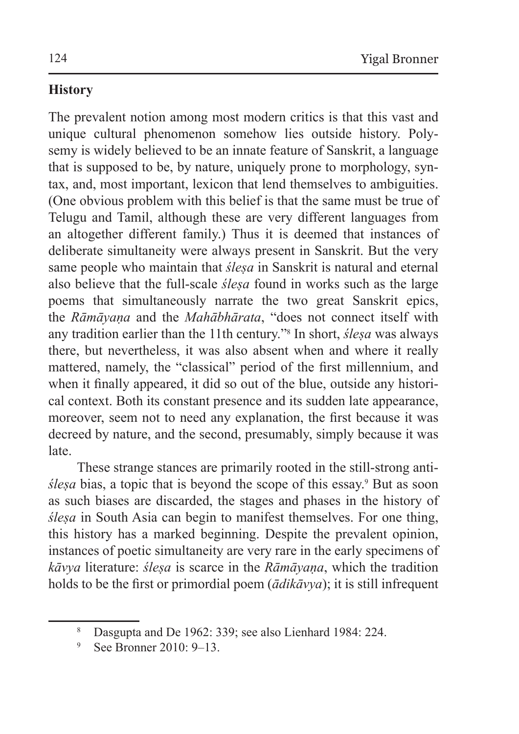# **History**

The prevalent notion among most modern critics is that this vast and unique cultural phenomenon somehow lies outside history. Polysemy is widely believed to be an innate feature of Sanskrit, a language that is supposed to be, by nature, uniquely prone to morphology, syntax, and, most important, lexicon that lend themselves to ambiguities. (One obvious problem with this belief is that the same must be true of Telugu and Tamil, although these are very different languages from an altogether different family.) Thus it is deemed that instances of deliberate simultaneity were always present in Sanskrit. But the very same people who maintain that *śleṣa* in Sanskrit is natural and eternal also believe that the full-scale *śleṣa* found in works such as the large poems that simultaneously narrate the two great Sanskrit epics, the *Rāmāyaṇa* and the *Mahābhārata*, "does not connect itself with any tradition earlier than the 11th century."<sup>8</sup> In short, *śleṣa* was always there, but nevertheless, it was also absent when and where it really mattered, namely, the "classical" period of the first millennium, and when it finally appeared, it did so out of the blue, outside any historical context. Both its constant presence and its sudden late appearance, moreover, seem not to need any explanation, the first because it was decreed by nature, and the second, presumably, simply because it was late.

These strange stances are primarily rooted in the still-strong anti*śleṣa* bias, a topic that is beyond the scope of this essay.<sup>9</sup> But as soon as such biases are discarded, the stages and phases in the history of *śleṣa* in South Asia can begin to manifest themselves. For one thing, this history has a marked beginning. Despite the prevalent opinion, instances of poetic simultaneity are very rare in the early specimens of *kāvya* literature: *śleṣa* is scarce in the *Rāmāyaṇa*, which the tradition holds to be the first or primordial poem (*ādikāvya*); it is still infrequent

<sup>8</sup> Dasgupta and De 1962: 339; see also Lienhard 1984: 224.

See Bronner 2010: 9–13.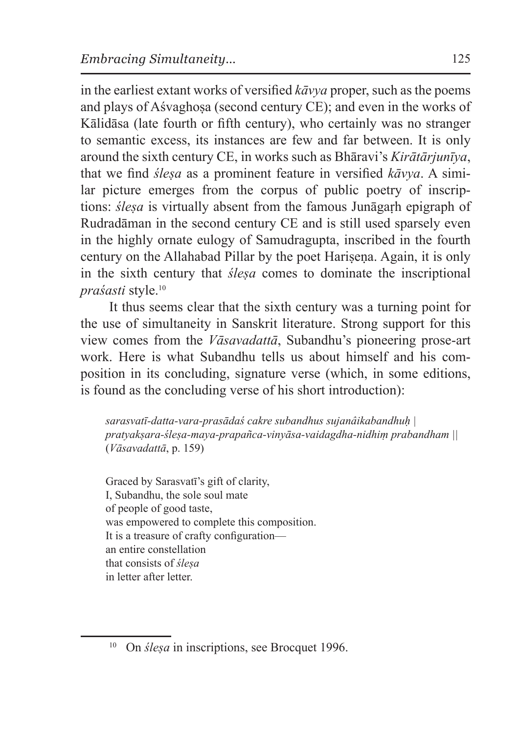in the earliest extant works of versified *kāvya* proper, such as the poems and plays of Aśvaghosa (second century CE); and even in the works of Kālidāsa (late fourth or fifth century), who certainly was no stranger to semantic excess, its instances are few and far between. It is only around the sixth century CE, in works such as Bhāravi's *Kirātārjunīya*, that we find *śleṣa* as a prominent feature in versified *kāvya*. A similar picture emerges from the corpus of public poetry of inscriptions: *ślesa* is virtually absent from the famous Junāgarh epigraph of Rudradāman in the second century CE and is still used sparsely even in the highly ornate eulogy of Samudragupta, inscribed in the fourth century on the Allahabad Pillar by the poet Harisena. Again, it is only in the sixth century that *śleṣa* comes to dominate the inscriptional *praśasti* style.<sup>10</sup>

It thus seems clear that the sixth century was a turning point for the use of simultaneity in Sanskrit literature. Strong support for this view comes from the *Vāsavadattā*, Subandhu's pioneering prose-art work. Here is what Subandhu tells us about himself and his composition in its concluding, signature verse (which, in some editions, is found as the concluding verse of his short introduction):

*sarasvatī-datta-vara-prasādaś cakre subandhus sujanâikabandhuḥ | pratyakṣara-śleṣa-maya-prapañca-vinyāsa-vaidagdha-nidhiṃ prabandham ||* (*Vāsavadattā*, p. 159)

Graced by Sarasvatī's gift of clarity, I, Subandhu, the sole soul mate of people of good taste, was empowered to complete this composition. It is a treasure of crafty configuration an entire constellation that consists of *śleṣa* in letter after letter.

<sup>&</sup>lt;sup>10</sup> On *ślesa* in inscriptions, see Brocquet 1996.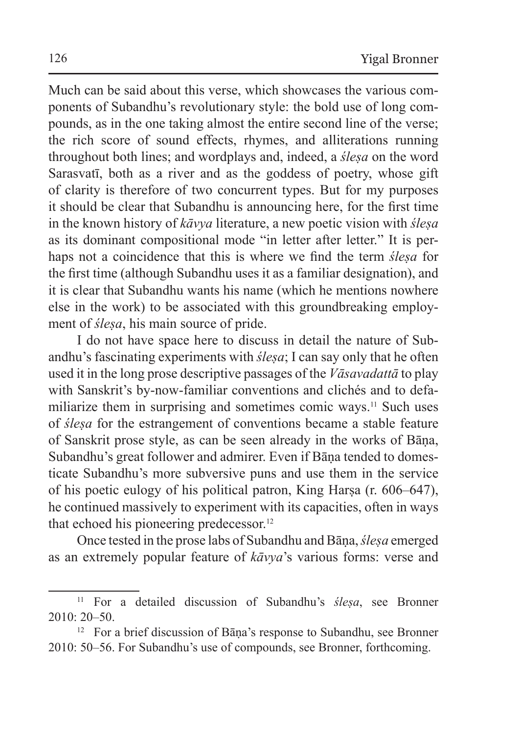Much can be said about this verse, which showcases the various components of Subandhu's revolutionary style: the bold use of long compounds, as in the one taking almost the entire second line of the verse; the rich score of sound effects, rhymes, and alliterations running throughout both lines; and wordplays and, indeed, a *śleṣa* on the word Sarasvatī, both as a river and as the goddess of poetry, whose gift of clarity is therefore of two concurrent types. But for my purposes it should be clear that Subandhu is announcing here, for the first time in the known history of *kāvya* literature, a new poetic vision with *śleṣa* as its dominant compositional mode "in letter after letter." It is perhaps not a coincidence that this is where we find the term *śleṣa* for the first time (although Subandhu uses it as a familiar designation), and it is clear that Subandhu wants his name (which he mentions nowhere else in the work) to be associated with this groundbreaking employment of *śleṣa*, his main source of pride.

I do not have space here to discuss in detail the nature of Subandhu's fascinating experiments with *śleṣa*; I can say only that he often used it in the long prose descriptive passages of the *Vāsavadattā* to play with Sanskrit's by-now-familiar conventions and clichés and to defamiliarize them in surprising and sometimes comic ways.<sup>11</sup> Such uses of *śleṣa* for the estrangement of conventions became a stable feature of Sanskrit prose style, as can be seen already in the works of Bāṇa, Subandhu's great follower and admirer. Even if Bāna tended to domesticate Subandhu's more subversive puns and use them in the service of his poetic eulogy of his political patron, King Harsa (r. 606–647), he continued massively to experiment with its capacities, often in ways that echoed his pioneering predecessor.<sup>12</sup>

Once tested in the prose labs of Subandhu and Bāṇa, *śleṣa* emerged as an extremely popular feature of *kāvya*'s various forms: verse and

<sup>11</sup> For a detailed discussion of Subandhu's *śleṣa*, see Bronner  $2010 \cdot 20 - 50$ 

<sup>&</sup>lt;sup>12</sup> For a brief discussion of Bāna's response to Subandhu, see Bronner 2010: 50–56. For Subandhu's use of compounds, see Bronner, forthcoming.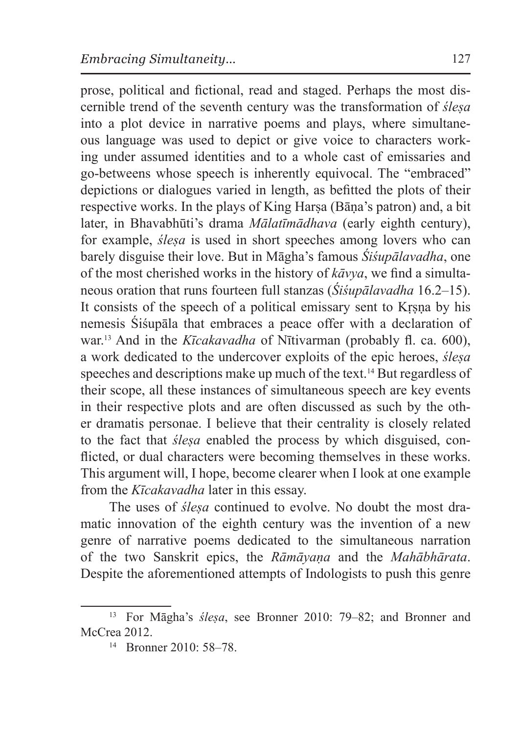prose, political and fictional, read and staged. Perhaps the most discernible trend of the seventh century was the transformation of *śleṣa* into a plot device in narrative poems and plays, where simultaneous language was used to depict or give voice to characters working under assumed identities and to a whole cast of emissaries and go-betweens whose speech is inherently equivocal. The "embraced" depictions or dialogues varied in length, as befitted the plots of their respective works. In the plays of King Harsa (Bāna's patron) and, a bit later, in Bhavabhūti's drama *Mālatīmādhava* (early eighth century), for example, *śleṣa* is used in short speeches among lovers who can barely disguise their love. But in Māgha's famous *Śiśupālavadha*, one of the most cherished works in the history of *kāvya*, we find a simultaneous oration that runs fourteen full stanzas (*Śiśupālavadha* 16.2–15). It consists of the speech of a political emissary sent to Kṛṣṇa by his nemesis Śiśupāla that embraces a peace offer with a declaration of war.13 And in the *Kīcakavadha* of Nītivarman (probably fl. ca. 600), a work dedicated to the undercover exploits of the epic heroes, *śleṣa* speeches and descriptions make up much of the text.<sup>14</sup> But regardless of their scope, all these instances of simultaneous speech are key events in their respective plots and are often discussed as such by the other dramatis personae. I believe that their centrality is closely related to the fact that *śleṣa* enabled the process by which disguised, conflicted, or dual characters were becoming themselves in these works. This argument will, I hope, become clearer when I look at one example from the *Kīcakavadha* later in this essay.

The uses of *śleṣa* continued to evolve. No doubt the most dramatic innovation of the eighth century was the invention of a new genre of narrative poems dedicated to the simultaneous narration of the two Sanskrit epics, the *Rāmāyaṇa* and the *Mahābhārata*. Despite the aforementioned attempts of Indologists to push this genre

<sup>13</sup> For Māgha's *śleṣa*, see Bronner 2010: 79–82; and Bronner and McCrea 2012.

 $14$  Bronner 2010: 58–78.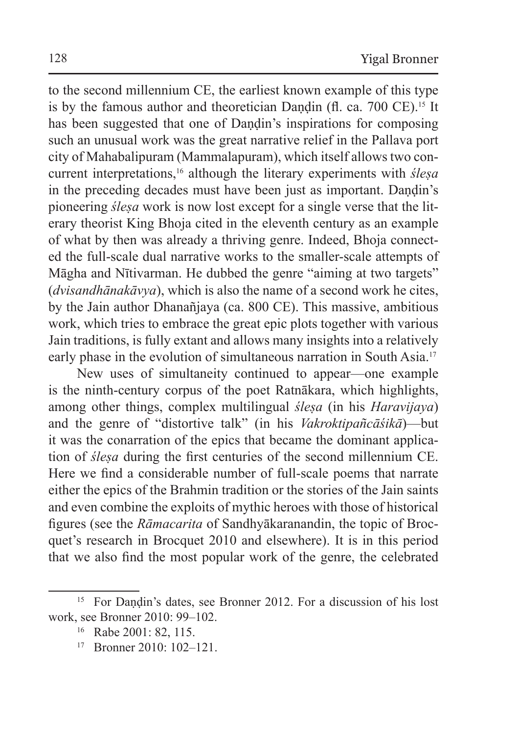to the second millennium CE, the earliest known example of this type is by the famous author and theoretician Dandin (fl. ca.  $700 \text{ CE}$ ).<sup>15</sup> It has been suggested that one of Dandin's inspirations for composing such an unusual work was the great narrative relief in the Pallava port city of Mahabalipuram (Mammalapuram), which itself allows two concurrent interpretations,16 although the literary experiments with *śleṣa* in the preceding decades must have been just as important. Dandin's pioneering *śleṣa* work is now lost except for a single verse that the literary theorist King Bhoja cited in the eleventh century as an example of what by then was already a thriving genre. Indeed, Bhoja connected the full-scale dual narrative works to the smaller-scale attempts of Māgha and Nītivarman. He dubbed the genre "aiming at two targets" (*dvisandhānakāvya*), which is also the name of a second work he cites, by the Jain author Dhanañjaya (ca. 800 CE). This massive, ambitious work, which tries to embrace the great epic plots together with various Jain traditions, is fully extant and allows many insights into a relatively early phase in the evolution of simultaneous narration in South Asia.<sup>17</sup>

New uses of simultaneity continued to appear—one example is the ninth-century corpus of the poet Ratnākara, which highlights, among other things, complex multilingual *śleṣa* (in his *Haravijaya*) and the genre of "distortive talk" (in his *Vakroktipañcāśikā*)—but it was the conarration of the epics that became the dominant application of *śleṣa* during the first centuries of the second millennium CE. Here we find a considerable number of full-scale poems that narrate either the epics of the Brahmin tradition or the stories of the Jain saints and even combine the exploits of mythic heroes with those of historical figures (see the *Rāmacarita* of Sandhyākaranandin, the topic of Brocquet's research in Brocquet 2010 and elsewhere). It is in this period that we also find the most popular work of the genre, the celebrated

<sup>&</sup>lt;sup>15</sup> For Dandin's dates, see Bronner 2012. For a discussion of his lost work, see Bronner 2010: 99–102.

<sup>16</sup> Rabe 2001: 82, 115.

 $17$  Bronner  $2010 \cdot 102 - 121$ .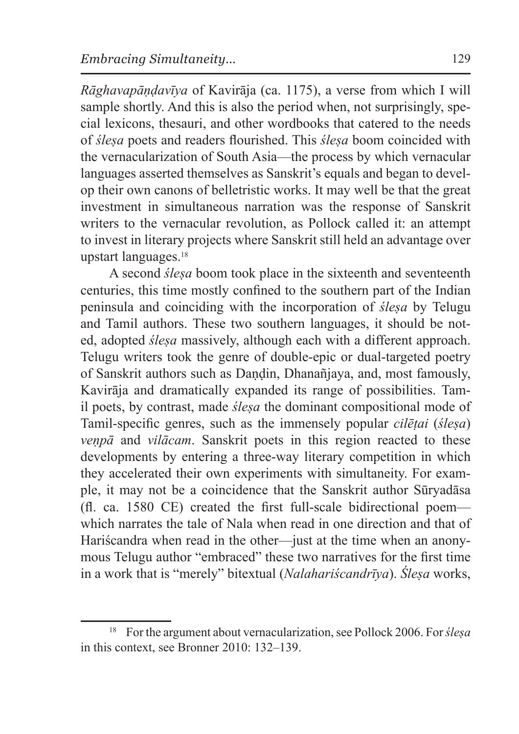*Rāghavapāṇḍavīya* of Kavirāja (ca. 1175), a verse from which I will sample shortly. And this is also the period when, not surprisingly, special lexicons, thesauri, and other wordbooks that catered to the needs of *śleṣa* poets and readers flourished. This *śleṣa* boom coincided with the vernacularization of South Asia—the process by which vernacular languages asserted themselves as Sanskrit's equals and began to develop their own canons of belletristic works. It may well be that the great investment in simultaneous narration was the response of Sanskrit writers to the vernacular revolution, as Pollock called it: an attempt to invest in literary projects where Sanskrit still held an advantage over upstart languages.<sup>18</sup>

A second *śleṣa* boom took place in the sixteenth and seventeenth centuries, this time mostly confined to the southern part of the Indian peninsula and coinciding with the incorporation of *śleṣa* by Telugu and Tamil authors. These two southern languages, it should be noted, adopted *ślesa* massively, although each with a different approach. Telugu writers took the genre of double-epic or dual-targeted poetry of Sanskrit authors such as Daṇḍin, Dhanañjaya, and, most famously, Kavirāja and dramatically expanded its range of possibilities. Tamil poets, by contrast, made *ślesa* the dominant compositional mode of Tamil-specific genres, such as the immensely popular *cilēṭai* (*śleṣa*) *veṇpā* and *vilācam*. Sanskrit poets in this region reacted to these developments by entering a three-way literary competition in which they accelerated their own experiments with simultaneity. For example, it may not be a coincidence that the Sanskrit author Sūryadāsa (fl. ca. 1580 CE) created the first full-scale bidirectional poem which narrates the tale of Nala when read in one direction and that of Hariścandra when read in the other—just at the time when an anonymous Telugu author "embraced" these two narratives for the first time in a work that is "merely" bitextual (*Nalahariścandrīya*). *Śleṣa* works,

<sup>18</sup> For the argument about vernacularization, see Pollock 2006. For*śleṣa* in this context, see Bronner 2010: 132–139.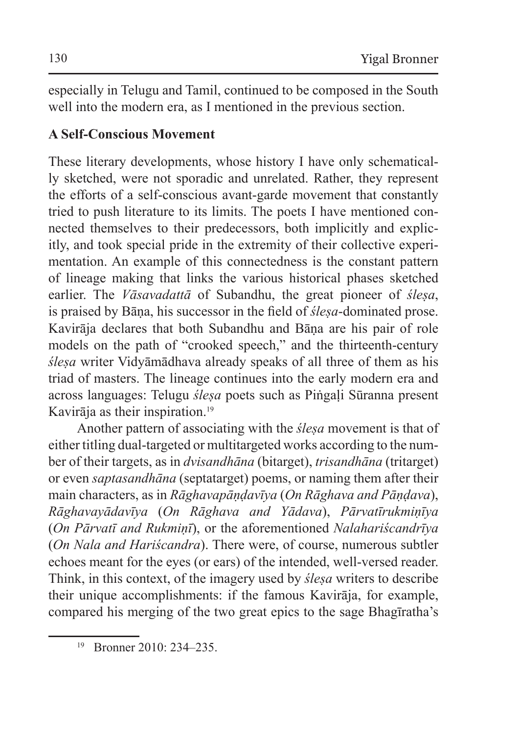especially in Telugu and Tamil, continued to be composed in the South well into the modern era, as I mentioned in the previous section.

### **A Self-Conscious Movement**

These literary developments, whose history I have only schematically sketched, were not sporadic and unrelated. Rather, they represent the efforts of a self-conscious avant-garde movement that constantly tried to push literature to its limits. The poets I have mentioned connected themselves to their predecessors, both implicitly and explicitly, and took special pride in the extremity of their collective experimentation. An example of this connectedness is the constant pattern of lineage making that links the various historical phases sketched earlier. The *Vāsavadattā* of Subandhu, the great pioneer of *śleṣa*, is praised by Bāṇa, his successor in the field of *śleṣa*-dominated prose. Kavirāja declares that both Subandhu and Bāṇa are his pair of role models on the path of "crooked speech," and the thirteenth-century *śleṣa* writer Vidyāmādhava already speaks of all three of them as his triad of masters. The lineage continues into the early modern era and across languages: Telugu *śleṣa* poets such as Piṅgaḷi Sūranna present Kavirāja as their inspiration.<sup>19</sup>

Another pattern of associating with the *śleṣa* movement is that of either titling dual-targeted or multitargeted works according to the number of their targets, as in *dvisandhāna* (bitarget), *trisandhāna* (tritarget) or even *saptasandhāna* (septatarget) poems, or naming them after their main characters, as in *Rāghavapāṇḍavīya* (*On Rāghava and Pāṇḍava*), *Rāghavayādavīya* (*On Rāghava and Yādava*), *Pārvatīrukmiṇīya* (*On Pārvatī and Rukmiṇī*), or the aforementioned *Nalahariścandrīya* (*On Nala and Hariścandra*). There were, of course, numerous subtler echoes meant for the eyes (or ears) of the intended, well-versed reader. Think, in this context, of the imagery used by *śleṣa* writers to describe their unique accomplishments: if the famous Kavirāja, for example, compared his merging of the two great epics to the sage Bhagīratha's

<sup>19</sup> Bronner 2010: 234–235.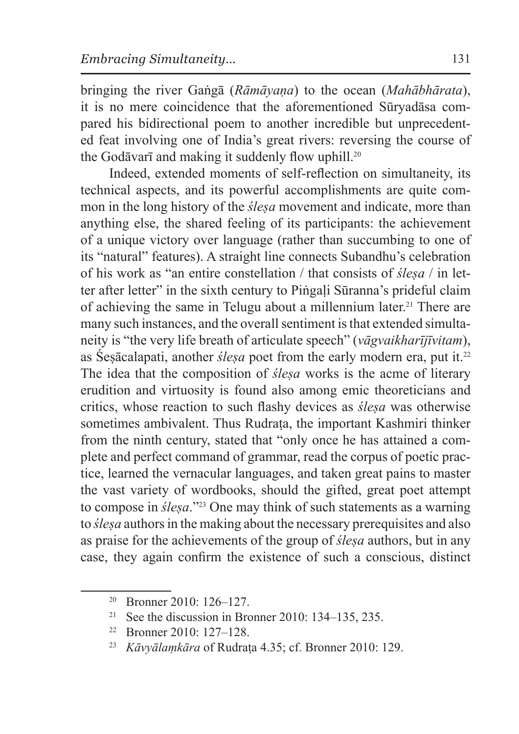bringing the river Gaṅgā (*Rāmāyaṇa*) to the ocean (*Mahābhārata*), it is no mere coincidence that the aforementioned Sūryadāsa compared his bidirectional poem to another incredible but unprecedented feat involving one of India's great rivers: reversing the course of the Godāvarī and making it suddenly flow uphill.<sup>20</sup>

Indeed, extended moments of self-reflection on simultaneity, its technical aspects, and its powerful accomplishments are quite common in the long history of the *śleṣa* movement and indicate, more than anything else, the shared feeling of its participants: the achievement of a unique victory over language (rather than succumbing to one of its "natural" features). A straight line connects Subandhu's celebration of his work as "an entire constellation / that consists of *śleṣa* / in letter after letter" in the sixth century to Piṅgaḷi Sūranna's prideful claim of achieving the same in Telugu about a millennium later.<sup>21</sup> There are many such instances, and the overall sentiment is that extended simultaneity is "the very life breath of articulate speech" (*vāgvaikharījīvitam*), as Śesācalapati, another *ślesa* poet from the early modern era, put it.<sup>22</sup> The idea that the composition of *ślesa* works is the acme of literary erudition and virtuosity is found also among emic theoreticians and critics, whose reaction to such flashy devices as *śleṣa* was otherwise sometimes ambivalent. Thus Rudrata, the important Kashmiri thinker from the ninth century, stated that "only once he has attained a complete and perfect command of grammar, read the corpus of poetic practice, learned the vernacular languages, and taken great pains to master the vast variety of wordbooks, should the gifted, great poet attempt to compose in *śleṣa*."23 One may think of such statements as a warning to *śleṣa* authors in the making about the necessary prerequisites and also as praise for the achievements of the group of *śleṣa* authors, but in any case, they again confirm the existence of such a conscious, distinct

<sup>20</sup> Bronner 2010: 126–127.

<sup>&</sup>lt;sup>21</sup> See the discussion in Bronner 2010: 134–135, 235.

<sup>22</sup> Bronner 2010: 127–128.

<sup>&</sup>lt;sup>23</sup> *Kāvyālamkāra* of Rudrata 4.35; cf. Bronner 2010: 129.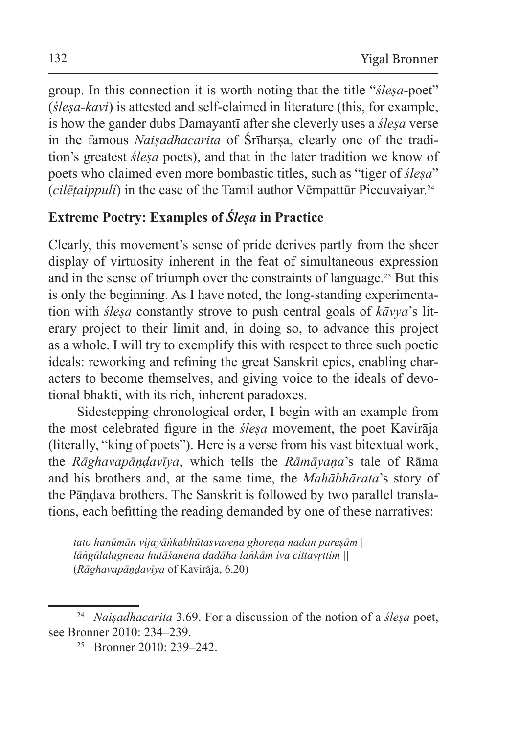group. In this connection it is worth noting that the title "*śleṣa*-poet" (*śleṣa-kavi*) is attested and self-claimed in literature (this, for example, is how the gander dubs Damayantī after she cleverly uses a *śleṣa* verse in the famous *Naisadhacarita* of Sriharsa, clearly one of the tradition's greatest *śleṣa* poets), and that in the later tradition we know of poets who claimed even more bombastic titles, such as "tiger of *śleṣa*" (*cilēṭaippuli*) in the case of the Tamil author Vēmpattūr Piccuvaiyar.<sup>24</sup>

## **Extreme Poetry: Examples of** *Śleṣa* **in Practice**

Clearly, this movement's sense of pride derives partly from the sheer display of virtuosity inherent in the feat of simultaneous expression and in the sense of triumph over the constraints of language.25 But this is only the beginning. As I have noted, the long-standing experimentation with *śleṣa* constantly strove to push central goals of *kāvya*'s literary project to their limit and, in doing so, to advance this project as a whole. I will try to exemplify this with respect to three such poetic ideals: reworking and refining the great Sanskrit epics, enabling characters to become themselves, and giving voice to the ideals of devotional bhakti, with its rich, inherent paradoxes.

Sidestepping chronological order, I begin with an example from the most celebrated figure in the *śleṣa* movement, the poet Kavirāja (literally, "king of poets"). Here is a verse from his vast bitextual work, the *Rāghavapāṇḍavīya*, which tells the *Rāmāyaṇa*'s tale of Rāma and his brothers and, at the same time, the *Mahābhārata*'s story of the Pāṇḍava brothers. The Sanskrit is followed by two parallel translations, each befitting the reading demanded by one of these narratives:

*tato hanūmān vijayāṅkabhūtasvareṇa ghoreṇa nadan pareṣām | lāṅgūlalagnena hutāśanena dadāha laṅkām iva cittavṛttim ||*  (*Rāghavapāṇḍavīya* of Kavirāja, 6.20)

<sup>24</sup> *Naiṣadhacarita* 3.69. For a discussion of the notion of a *śleṣa* poet, see Bronner 2010: 234–239.

 $25$  Bronner 2010: 239–242.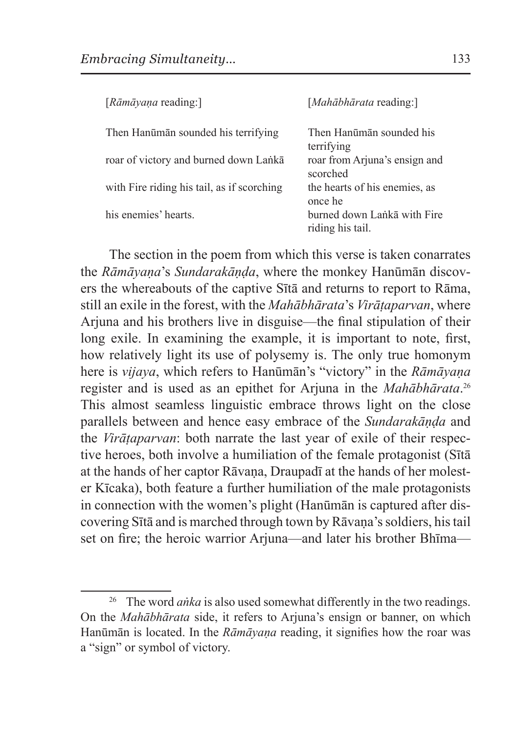| [Rāmāyaṇa reading:]                        | [ <i>Mahābhārata</i> reading:]                  |
|--------------------------------------------|-------------------------------------------------|
| Then Hanūmān sounded his terrifying        | Then Hanūmān sounded his<br>terrifying          |
| roar of victory and burned down Lanka      | roar from Arjuna's ensign and<br>scorched       |
| with Fire riding his tail, as if scorching | the hearts of his enemies, as<br>once he        |
| his enemies' hearts.                       | burned down Lanka with Fire<br>riding his tail. |

The section in the poem from which this verse is taken conarrates the *Rāmāyaṇa*'s *Sundarakāṇḍa*, where the monkey Hanūmān discovers the whereabouts of the captive Sītā and returns to report to Rāma, still an exile in the forest, with the *Mahābhārata*'s *Virāṭaparvan*, where Arjuna and his brothers live in disguise—the final stipulation of their long exile. In examining the example, it is important to note, first, how relatively light its use of polysemy is. The only true homonym here is *vijaya*, which refers to Hanūmān's "victory" in the *Rāmāyaṇa* register and is used as an epithet for Arjuna in the *Mahābhārata*. 26 This almost seamless linguistic embrace throws light on the close parallels between and hence easy embrace of the *Sundarakāṇḍa* and the *Virāṭaparvan*: both narrate the last year of exile of their respective heroes, both involve a humiliation of the female protagonist (Sītā at the hands of her captor Rāvaṇa, Draupadī at the hands of her molester Kīcaka), both feature a further humiliation of the male protagonists in connection with the women's plight (Hanūmān is captured after discovering Sītā and is marched through town by Rāvaṇa's soldiers, his tail set on fire; the heroic warrior Arjuna—and later his brother Bhīma—

<sup>&</sup>lt;sup>26</sup> The word *anka* is also used somewhat differently in the two readings. On the *Mahābhārata* side, it refers to Arjuna's ensign or banner, on which Hanūmān is located. In the *Rāmāyaṇa* reading, it signifies how the roar was a "sign" or symbol of victory.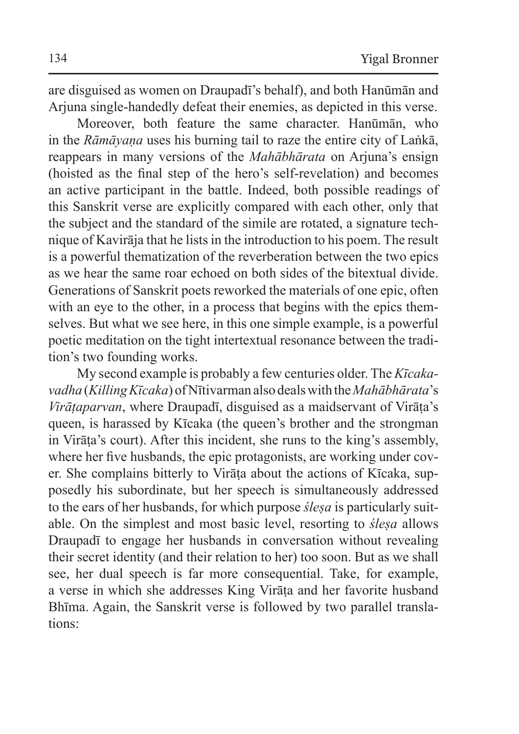are disguised as women on Draupadī's behalf), and both Hanūmān and Arjuna single-handedly defeat their enemies, as depicted in this verse.

Moreover, both feature the same character. Hanūmān, who in the *Rāmāyaṇa* uses his burning tail to raze the entire city of Laṅkā, reappears in many versions of the *Mahābhārata* on Arjuna's ensign (hoisted as the final step of the hero's self-revelation) and becomes an active participant in the battle. Indeed, both possible readings of this Sanskrit verse are explicitly compared with each other, only that the subject and the standard of the simile are rotated, a signature technique of Kavirāja that he lists in the introduction to his poem. The result is a powerful thematization of the reverberation between the two epics as we hear the same roar echoed on both sides of the bitextual divide. Generations of Sanskrit poets reworked the materials of one epic, often with an eye to the other, in a process that begins with the epics themselves. But what we see here, in this one simple example, is a powerful poetic meditation on the tight intertextual resonance between the tradition's two founding works.

My second example is probably a few centuries older. The *Kīcakavadha* (*Killing Kīcaka*) of Nītivarman also deals with the*Mahābhārata*'s *Virāṭaparvan*, where Draupadī, disguised as a maidservant of Virāṭa's queen, is harassed by Kīcaka (the queen's brother and the strongman in Virāṭa's court). After this incident, she runs to the king's assembly, where her five husbands, the epic protagonists, are working under cover. She complains bitterly to Virāṭa about the actions of Kīcaka, supposedly his subordinate, but her speech is simultaneously addressed to the ears of her husbands, for which purpose *śleṣa* is particularly suitable. On the simplest and most basic level, resorting to *śleṣa* allows Draupadī to engage her husbands in conversation without revealing their secret identity (and their relation to her) too soon. But as we shall see, her dual speech is far more consequential. Take, for example, a verse in which she addresses King Virāṭa and her favorite husband Bhīma. Again, the Sanskrit verse is followed by two parallel translations: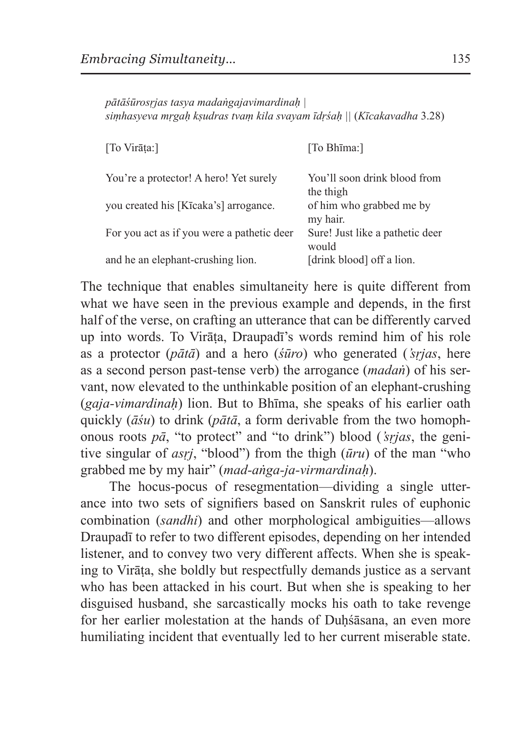*pātāśūrosṛjas tasya madaṅgajavimardinaḥ | siṃhasyeva mṛgaḥ kṣudras tvaṃ kila svayam īdṛśaḥ ||* (*Kīcakavadha* 3.28)

| [To Virāta:]                               | [To Bhima:]                               |
|--------------------------------------------|-------------------------------------------|
| You're a protector! A hero! Yet surely     | You'll soon drink blood from<br>the thigh |
| you created his [Kīcaka's] arrogance.      | of him who grabbed me by<br>my hair.      |
| For you act as if you were a pathetic deer | Sure! Just like a pathetic deer<br>would  |
| and he an elephant-crushing lion.          | [drink blood] off a lion.                 |

The technique that enables simultaneity here is quite different from what we have seen in the previous example and depends, in the first half of the verse, on crafting an utterance that can be differently carved up into words. To Virāṭa, Draupadī's words remind him of his role as a protector (*pātā*) and a hero (*śūro*) who generated (*'sṛjas*, here as a second person past-tense verb) the arrogance (*madaṅ*) of his servant, now elevated to the unthinkable position of an elephant-crushing (*gaja-vimardinaḥ*) lion. But to Bhīma, she speaks of his earlier oath quickly (*āśu*) to drink (*pātā*, a form derivable from the two homophonous roots *pā*, "to protect" and "to drink") blood (*'sṛjas*, the genitive singular of *asṛj*, "blood") from the thigh (*ūru*) of the man "who grabbed me by my hair" (*mad-aṅga-ja-virmardinaḥ*).

The hocus-pocus of resegmentation—dividing a single utterance into two sets of signifiers based on Sanskrit rules of euphonic combination (*sandhi*) and other morphological ambiguities—allows Draupadī to refer to two different episodes, depending on her intended listener, and to convey two very different affects. When she is speaking to Virāṭa, she boldly but respectfully demands justice as a servant who has been attacked in his court. But when she is speaking to her disguised husband, she sarcastically mocks his oath to take revenge for her earlier molestation at the hands of Duhśāsana, an even more humiliating incident that eventually led to her current miserable state.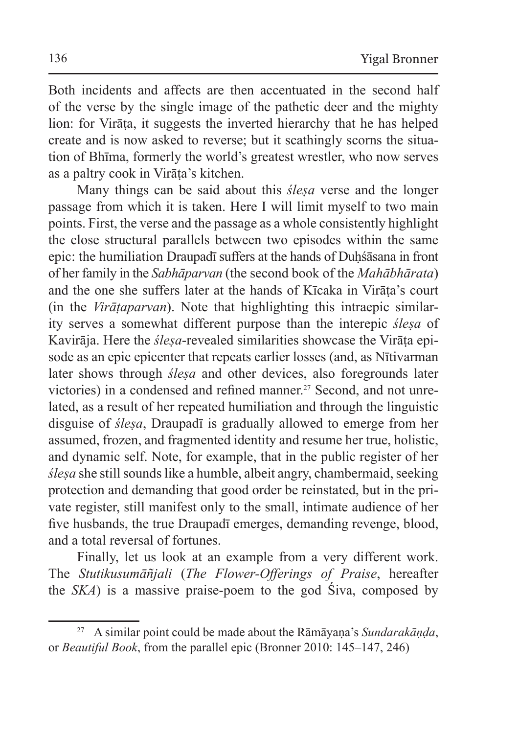Both incidents and affects are then accentuated in the second half of the verse by the single image of the pathetic deer and the mighty lion: for Virāṭa, it suggests the inverted hierarchy that he has helped create and is now asked to reverse; but it scathingly scorns the situation of Bhīma, formerly the world's greatest wrestler, who now serves as a paltry cook in Virāṭa's kitchen.

Many things can be said about this *śleṣa* verse and the longer passage from which it is taken. Here I will limit myself to two main points. First, the verse and the passage as a whole consistently highlight the close structural parallels between two episodes within the same epic: the humiliation Draupadī suffers at the hands of Duhśāsana in front of her family in the *Sabhāparvan* (the second book of the *Mahābhārata*) and the one she suffers later at the hands of Kīcaka in Virāṭa's court (in the *Virāṭaparvan*). Note that highlighting this intraepic similarity serves a somewhat different purpose than the interepic *śleṣa* of Kavirāja. Here the *śleṣa*-revealed similarities showcase the Virāṭa episode as an epic epicenter that repeats earlier losses (and, as Nītivarman later shows through *śleṣa* and other devices, also foregrounds later victories) in a condensed and refined manner.<sup>27</sup> Second, and not unrelated, as a result of her repeated humiliation and through the linguistic disguise of *śleṣa*, Draupadī is gradually allowed to emerge from her assumed, frozen, and fragmented identity and resume her true, holistic, and dynamic self. Note, for example, that in the public register of her *śleṣa* she still sounds like a humble, albeit angry, chambermaid, seeking protection and demanding that good order be reinstated, but in the private register, still manifest only to the small, intimate audience of her five husbands, the true Draupadī emerges, demanding revenge, blood, and a total reversal of fortunes.

Finally, let us look at an example from a very different work. The *Stutikusumāñjali* (*The Flower-Offerings of Praise*, hereafter the *SKA*) is a massive praise-poem to the god Śiva, composed by

<sup>27</sup> A similar point could be made about the Rāmāyaṇa's *Sundarakāṇḍa*, or *Beautiful Book*, from the parallel epic (Bronner 2010: 145–147, 246)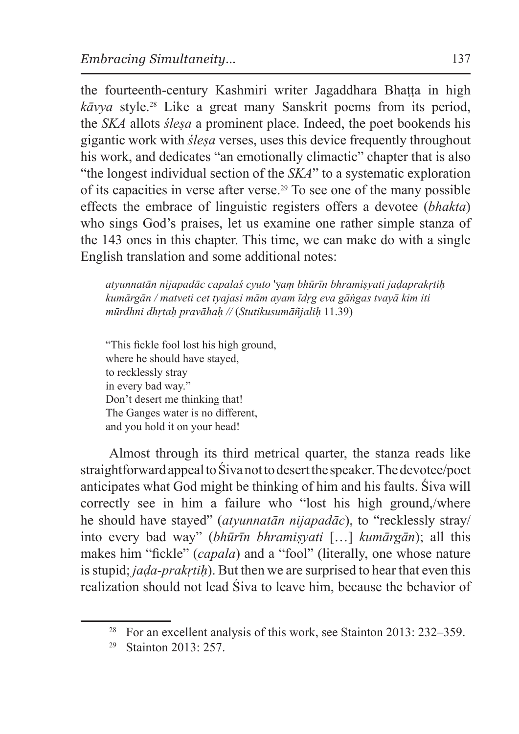the fourteenth-century Kashmiri writer Jagaddhara Bhaṭṭa in high *kāvya* style.28 Like a great many Sanskrit poems from its period, the *SKA* allots *śleṣa* a prominent place. Indeed, the poet bookends his gigantic work with *śleṣa* verses, uses this device frequently throughout his work, and dedicates "an emotionally climactic" chapter that is also "the longest individual section of the *SKA*" to a systematic exploration of its capacities in verse after verse.29 To see one of the many possible effects the embrace of linguistic registers offers a devotee (*bhakta*) who sings God's praises, let us examine one rather simple stanza of the 143 ones in this chapter. This time, we can make do with a single English translation and some additional notes:

*atyunnatān nijapadāc capalaś cyuto* 'y*aṃ bhūrīn bhramiṣyati jaḍaprakṛtiḥ kumārgān / matveti cet tyajasi mām ayam īdṛg eva gāṅgas tvayā kim iti mūrdhni dhṛtaḥ pravāhaḥ //* (*Stutikusumāñjaliḥ* 11.39)

"This fickle fool lost his high ground, where he should have stayed, to recklessly stray in every bad way." Don't desert me thinking that! The Ganges water is no different, and you hold it on your head!

Almost through its third metrical quarter, the stanza reads like straightforward appeal toŚiva not todesert the speaker. Thedevotee/poet anticipates what God might be thinking of him and his faults. Śiva will correctly see in him a failure who "lost his high ground,/where he should have stayed" (*atyunnatān nijapadāc*), to "recklessly stray/ into every bad way" (*bhūrīn bhramiṣyati* […] *kumārgān*); all this makes him "fickle" (*capala*) and a "fool" (literally, one whose nature isstupid; *jaḍa-prakṛtiḥ*). But then we are surprised to hear that even this realization should not lead Śiva to leave him, because the behavior of

<sup>&</sup>lt;sup>28</sup> For an excellent analysis of this work, see Stainton 2013: 232–359.

<sup>29</sup> Stainton 2013: 257.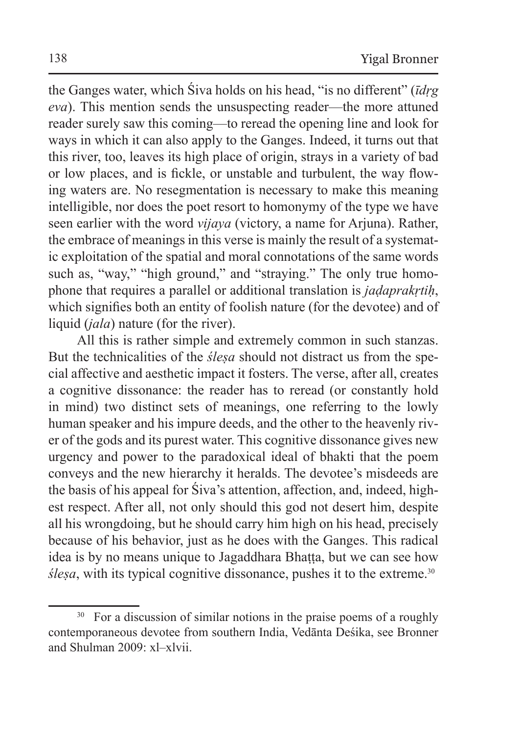the Ganges water, which Śiva holds on his head, "is no different" (*īdṛg eva*). This mention sends the unsuspecting reader—the more attuned reader surely saw this coming—to reread the opening line and look for ways in which it can also apply to the Ganges. Indeed, it turns out that this river, too, leaves its high place of origin, strays in a variety of bad or low places, and is fickle, or unstable and turbulent, the way flowing waters are. No resegmentation is necessary to make this meaning intelligible, nor does the poet resort to homonymy of the type we have seen earlier with the word *vijaya* (victory, a name for Arjuna). Rather, the embrace of meanings in this verse is mainly the result of a systematic exploitation of the spatial and moral connotations of the same words such as, "way," "high ground," and "straying." The only true homophone that requires a parallel or additional translation is *jaḍaprakṛtiḥ*, which signifies both an entity of foolish nature (for the devotee) and of liquid (*jala*) nature (for the river).

All this is rather simple and extremely common in such stanzas. But the technicalities of the *śleṣa* should not distract us from the special affective and aesthetic impact it fosters. The verse, after all, creates a cognitive dissonance: the reader has to reread (or constantly hold in mind) two distinct sets of meanings, one referring to the lowly human speaker and his impure deeds, and the other to the heavenly river of the gods and its purest water. This cognitive dissonance gives new urgency and power to the paradoxical ideal of bhakti that the poem conveys and the new hierarchy it heralds. The devotee's misdeeds are the basis of his appeal for Śiva's attention, affection, and, indeed, highest respect. After all, not only should this god not desert him, despite all his wrongdoing, but he should carry him high on his head, precisely because of his behavior, just as he does with the Ganges. This radical idea is by no means unique to Jagaddhara Bhaṭṭa, but we can see how *ślesa*, with its typical cognitive dissonance, pushes it to the extreme.<sup>30</sup>

<sup>&</sup>lt;sup>30</sup> For a discussion of similar notions in the praise poems of a roughly contemporaneous devotee from southern India, Vedānta Deśika, see Bronner and Shulman 2009: xl–xlvii.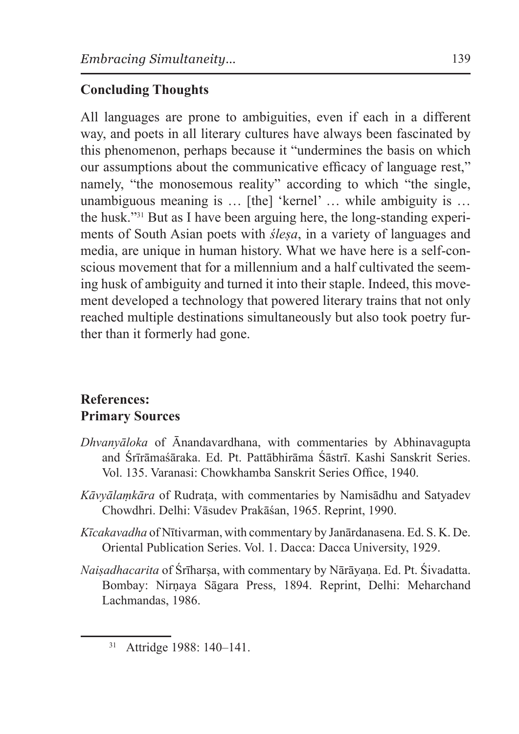# **Concluding Thoughts**

All languages are prone to ambiguities, even if each in a different way, and poets in all literary cultures have always been fascinated by this phenomenon, perhaps because it "undermines the basis on which our assumptions about the communicative efficacy of language rest," namely, "the monosemous reality" according to which "the single, unambiguous meaning is … [the] 'kernel' … while ambiguity is … the husk."31 But as I have been arguing here, the long-standing experiments of South Asian poets with *śleṣa*, in a variety of languages and media, are unique in human history. What we have here is a self-conscious movement that for a millennium and a half cultivated the seeming husk of ambiguity and turned it into their staple. Indeed, this movement developed a technology that powered literary trains that not only reached multiple destinations simultaneously but also took poetry further than it formerly had gone.

#### **References: Primary Sources**

- *Dhvanyāloka* of Ānandavardhana, with commentaries by Abhinavagupta and Śrīrāmaśāraka. Ed. Pt. Pattābhirāma Śāstrī. Kashi Sanskrit Series. Vol. 135. Varanasi: Chowkhamba Sanskrit Series Office, 1940.
- *Kāvyālaṃkāra* of Rudraṭa, with commentaries by Namisādhu and Satyadev Chowdhri. Delhi: Vāsudev Prakāśan, 1965. Reprint, 1990.
- *Kīcakavadha* of Nītivarman, with commentary by Janārdanasena. Ed. S. K. De. Oriental Publication Series. Vol. 1. Dacca: Dacca University, 1929.
- *Naiṣadhacarita* of Śrīharṣa, with commentary by Nārāyaṇa. Ed. Pt. Śivadatta. Bombay: Nirṇaya Sāgara Press, 1894. Reprint, Delhi: Meharchand Lachmandas, 1986.

<sup>31</sup> Attridge 1988: 140–141.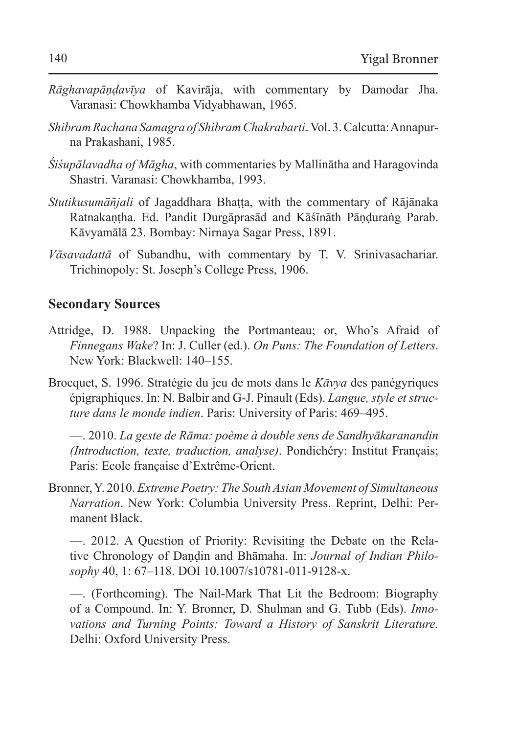- *Rāghavapāṇḍavīya* of Kavirāja, with commentary by Damodar Jha. Varanasi: Chowkhamba Vidyabhawan, 1965.
- *Shibram Rachana Samagra of Shibram Chakrabarti*.Vol. 3. Calcutta:Annapurna Prakashani, 1985.
- *Śiśupālavadha of Māgha*, with commentaries by Mallinātha and Haragovinda Shastri. Varanasi: Chowkhamba, 1993.
- *Stutikusumāñjali* of Jagaddhara Bhaṭṭa, with the commentary of Rājānaka Ratnakaṇṭha. Ed. Pandit Durgāprasād and Kāśīnāth Pāṇḍuraṅg Parab. Kāvyamālā 23. Bombay: Nirnaya Sagar Press, 1891.
- *Vāsavadattā* of Subandhu, with commentary by T. V. Srinivasachariar. Trichinopoly: St. Joseph's College Press, 1906.

#### **Secondary Sources**

- Attridge, D. 1988. Unpacking the Portmanteau; or, Who's Afraid of *Finnegans Wake*? In: J. Culler (ed.). *On Puns: The Foundation of Letters*. New York: Blackwell: 140–155.
- Brocquet, S. 1996. Stratégie du jeu de mots dans le *Kāvya* des panégyriques épigraphiques. In: N. Balbir and G-J. Pinault (Eds). *Langue, style et structure dans le monde indien*. Paris: University of Paris: 469–495.

—. 2010. *La geste de Rāma: poème à double sens de Sandhyākaranandin (Introduction, texte, traduction, analyse)*. Pondichéry: Institut Français; Paris: Ecole française d'Extrême-Orient.

Bronner, Y. 2010. *Extreme Poetry: The South Asian Movement of Simultaneous Narration*. New York: Columbia University Press. Reprint, Delhi: Permanent Black.

—. 2012. A Question of Priority: Revisiting the Debate on the Relative Chronology of Dandin and Bhāmaha. In: *Journal of Indian Philosophy* 40, 1: 67–118. DOI 10.1007/s10781-011-9128-x.

—. (Forthcoming). The Nail-Mark That Lit the Bedroom: Biography of a Compound. In: Y. Bronner, D. Shulman and G. Tubb (Eds). *Innovations and Turning Points: Toward a History of Sanskrit Literature.* Delhi: Oxford University Press.